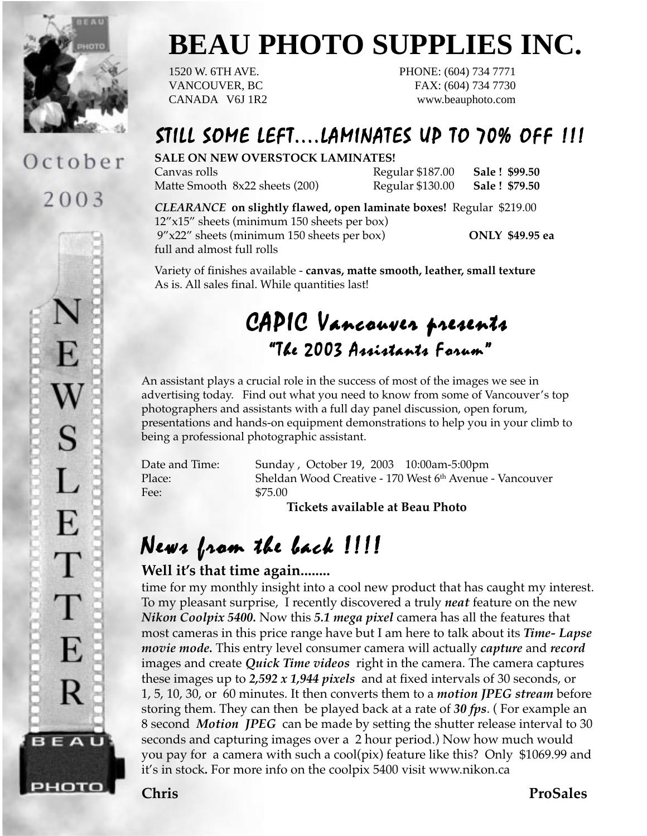

October

2003

F.

W

S

 $\mathbf{L}$ 

E

 $\top$ 

 $\top$ 

E

R

BEAU

рното

# **BEAU PHOTO SUPPLIES INC.**

1520 W. 6TH AVE. PHONE: (604) 734 7771 VANCOUVER, BC FAX: (604) 734 7730 CANADA V6J 1R2 www.beauphoto.com

## STILL SOME LEFT....LAMINATES UP TO 70% OFF !!!

#### **SALE ON NEW OVERSTOCK LAMINATES!**

Matte Smooth 8x22 sheets (200) Regular \$130.00 **Sale ! \$79.50**

Canvas rolls Regular \$187.00 **Sale ! \$99.50**

### *CLEARANCE* **on slightly flawed, open laminate boxes!** Regular \$219.00

12"x15" sheets (minimum 150 sheets per box) 9"x22" sheets (minimum 150 sheets per box) **ONLY \$49.95 ea** full and almost full rolls

Variety of finishes available - **canvas, matte smooth, leather, small texture** As is. All sales final. While quantities last!

# CAPIC Vancouver presents "The 2003 Assistants Forum" 2003 Assistants Forum"

An assistant plays a crucial role in the success of most of the images we see in advertising today. Find out what you need to know from some of Vancouver's top photographers and assistants with a full day panel discussion, open forum, presentations and hands-on equipment demonstrations to help you in your climb to being a professional photographic assistant.

Fee: \$75.00

Date and Time: Sunday , October 19, 2003 10:00am-5:00pm Place: Sheldan Wood Creative - 170 West 6th Avenue - Vancouver

**Tickets available at Beau Photo**

# News from the back  $1!1!$

### **Well it's that time again........**

time for my monthly insight into a cool new product that has caught my interest. To my pleasant surprise, I recently discovered a truly *neat* feature on the new *Nikon Coolpix 5400.* Now this *5.1 mega pixel* camera has all the features that most cameras in this price range have but I am here to talk about its *Time- Lapse movie mode.* This entry level consumer camera will actually *capture* and *record* images and create *Quick Time videos* right in the camera. The camera captures these images up to *2,592 x 1,944 pixels* and at fixed intervals of 30 seconds, or 1, 5, 10, 30, or 60 minutes. It then converts them to a *motion JPEG stream* before storing them. They can then be played back at a rate of *30 fps*. ( For example an 8 second *Motion JPEG* can be made by setting the shutter release interval to 30 seconds and capturing images over a 2 hour period.) Now how much would you pay for a camera with such a cool(pix) feature like this? Only \$1069.99 and it's in stock*.* For more info on the coolpix 5400 visit www.nikon.ca

**Chris ProSales**